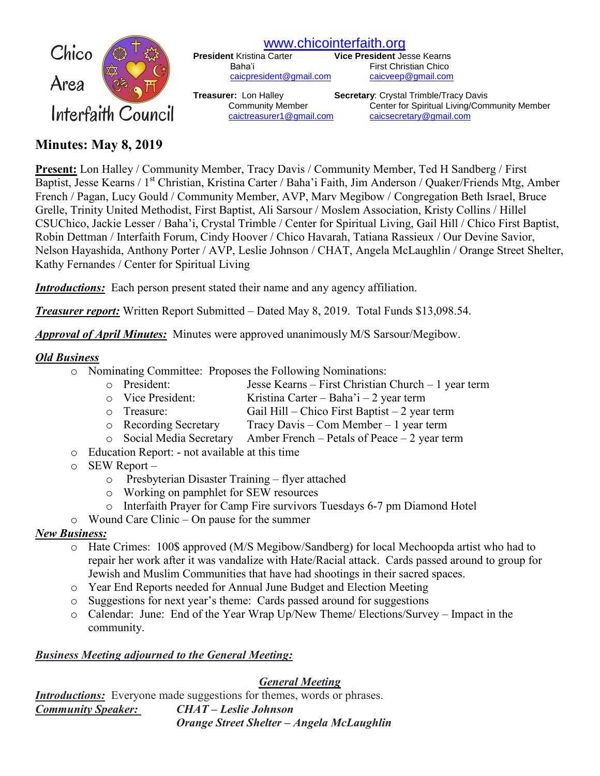

[www.chicointerfaith.org](file:///C:/Users/CSL/Downloads/www.chicointerfaith.org)<br>President Kristina Carter Vice President Je

[caicpresident@gmail.com](mailto:caicpresident@gmail.com)

**Vice President Jesse Kearns** Baha'i First Christian Chico<br>
<u>Caicpresident@gmail.com</u> caicveep@gmail.com

**Treasurer:** Lon Halley **Secretary**: Crystal Trimble/Tracy Davis Community Member Center for Spiritual Living/Community Member [caictreasurer1@gmail.com](mailto:caictreasurer1@gmail.com) [caicsecretary@gmail.com](mailto:caicsecretary@gmail.com)

# **Minutes: May 8, 2019**

**Present:** Lon Halley / Community Member, Tracy Davis / Community Member, Ted H Sandberg / First Baptist, Jesse Kearns / 1<sup>st</sup> Christian, Kristina Carter / Baha'i Faith, Jim Anderson / Quaker/Friends Mtg, Amber French / Pagan, Lucy Gould / Community Member, AVP, Marv Megibow / Congregation Beth Israel, Bruce Grelle, Trinity United Methodist, First Baptist, Ali Sarsour / Moslem Association, Kristy Collins / Hillel CSUChico, Jackie Lesser / Baha'i, Crystal Trimble / Center for Spiritual Living, Gail Hill / Chico First Baptist, Robin Dettman / Interfaith Forum, Cindy Hoover / Chico Havarah, Tatiana Rassieux / Our Devine Savior, Nelson Hayashida, Anthony Porter / AVP, Leslie Johnson / CHAT, Angela McLaughlin / Orange Street Shelter, Kathy Fernandes / Center for Spiritual Living

*Introductions:* Each person present stated their name and any agency affiliation.

*Treasurer report:* Written Report Submitted – Dated May 8, 2019. Total Funds \$13,098.54.

*Approval of April Minutes:*Minutes were approved unanimously M/S Sarsour/Megibow.

#### *Old Business*

- o Nominating Committee: Proposes the Following Nominations:
	- o President: Jesse Kearns First Christian Church 1 year term
		- o Vice President: Kristina Carter Baha'i 2 year term
		- o Treasure: Gail Hill Chico First Baptist 2 year term
		- o Recording Secretary Tracy Davis Com Member 1 year term
		- o Social Media Secretary Amber French Petals of Peace 2 year term
- o Education Report: not available at this time
- o SEW Report
	- o Presbyterian Disaster Training flyer attached
	- o Working on pamphlet for SEW resources
	- o Interfaith Prayer for Camp Fire survivors Tuesdays 6-7 pm Diamond Hotel
- o Wound Care Clinic On pause for the summer

## *New Business:*

- o Hate Crimes: 100\$ approved (M/S Megibow/Sandberg) for local Mechoopda artist who had to repair her work after it was vandalize with Hate/Racial attack. Cards passed around to group for Jewish and Muslim Communities that have had shootings in their sacred spaces.
- o Year End Reports needed for Annual June Budget and Election Meeting
- o Suggestions for next year's theme: Cards passed around for suggestions
- o Calendar: June: End of the Year Wrap Up/New Theme/ Elections/Survey Impact in the community.

## *Business Meeting adjourned to the General Meeting:*

*General Meeting*

*Introductions:* Everyone made suggestions for themes, words or phrases. *Community Speaker: CHAT – Leslie Johnson Orange Street Shelter – Angela McLaughlin*